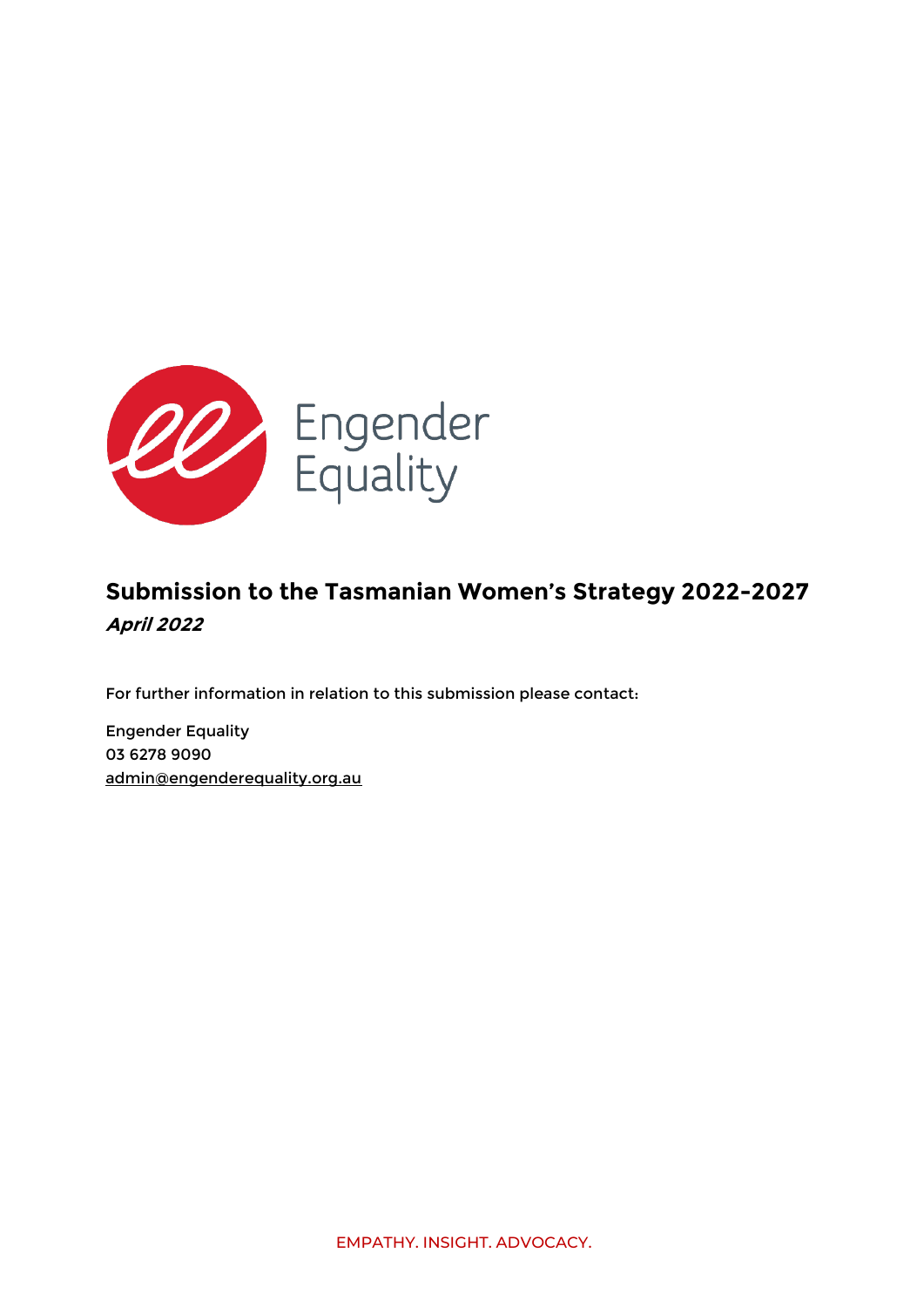

# **Submission to the Tasmanian Women's Strategy 2022-2027 April 2022**

For further information in relation to this submission please contact:

Engender Equality 03 6278 9090 [admin@engenderequality.org.au](mailto:admin@engenderequality.org.au)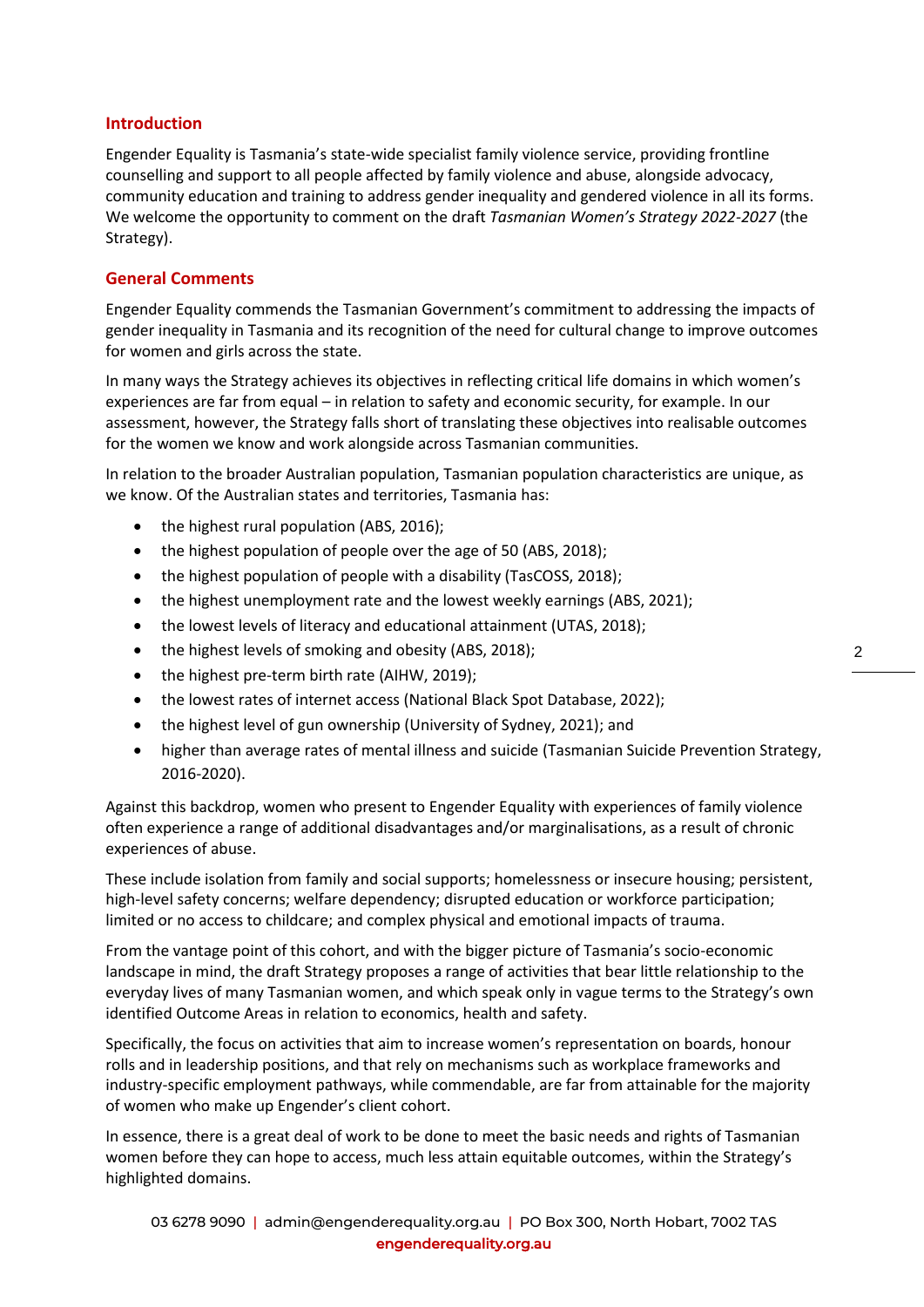## **Introduction**

Engender Equality is Tasmania's state-wide specialist family violence service, providing frontline counselling and support to all people affected by family violence and abuse, alongside advocacy, community education and training to address gender inequality and gendered violence in all its forms. We welcome the opportunity to comment on the draft *Tasmanian Women's Strategy 2022-2027* (the Strategy).

### **General Comments**

Engender Equality commends the Tasmanian Government's commitment to addressing the impacts of gender inequality in Tasmania and its recognition of the need for cultural change to improve outcomes for women and girls across the state.

In many ways the Strategy achieves its objectives in reflecting critical life domains in which women's experiences are far from equal – in relation to safety and economic security, for example. In our assessment, however, the Strategy falls short of translating these objectives into realisable outcomes for the women we know and work alongside across Tasmanian communities.

In relation to the broader Australian population, Tasmanian population characteristics are unique, as we know. Of the Australian states and territories, Tasmania has:

- the highest rural population (ABS, 2016);
- the highest population of people over the age of 50 (ABS, 2018);
- the highest population of people with a disability (TasCOSS, 2018);
- the highest unemployment rate and the lowest weekly earnings (ABS, 2021);
- the lowest levels of literacy and educational attainment (UTAS, 2018);
- the highest levels of smoking and obesity (ABS, 2018);
- the highest pre-term birth rate (AIHW, 2019);
- the lowest rates of internet access (National Black Spot Database, 2022);
- the highest level of gun ownership (University of Sydney, 2021); and
- higher than average rates of mental illness and suicide (Tasmanian Suicide Prevention Strategy, 2016-2020).

Against this backdrop, women who present to Engender Equality with experiences of family violence often experience a range of additional disadvantages and/or marginalisations, as a result of chronic experiences of abuse.

These include isolation from family and social supports; homelessness or insecure housing; persistent, high-level safety concerns; welfare dependency; disrupted education or workforce participation; limited or no access to childcare; and complex physical and emotional impacts of trauma.

From the vantage point of this cohort, and with the bigger picture of Tasmania's socio-economic landscape in mind, the draft Strategy proposes a range of activities that bear little relationship to the everyday lives of many Tasmanian women, and which speak only in vague terms to the Strategy's own identified Outcome Areas in relation to economics, health and safety.

Specifically, the focus on activities that aim to increase women's representation on boards, honour rolls and in leadership positions, and that rely on mechanisms such as workplace frameworks and industry-specific employment pathways, while commendable, are far from attainable for the majority of women who make up Engender's client cohort.

In essence, there is a great deal of work to be done to meet the basic needs and rights of Tasmanian women before they can hope to access, much less attain equitable outcomes, within the Strategy's highlighted domains.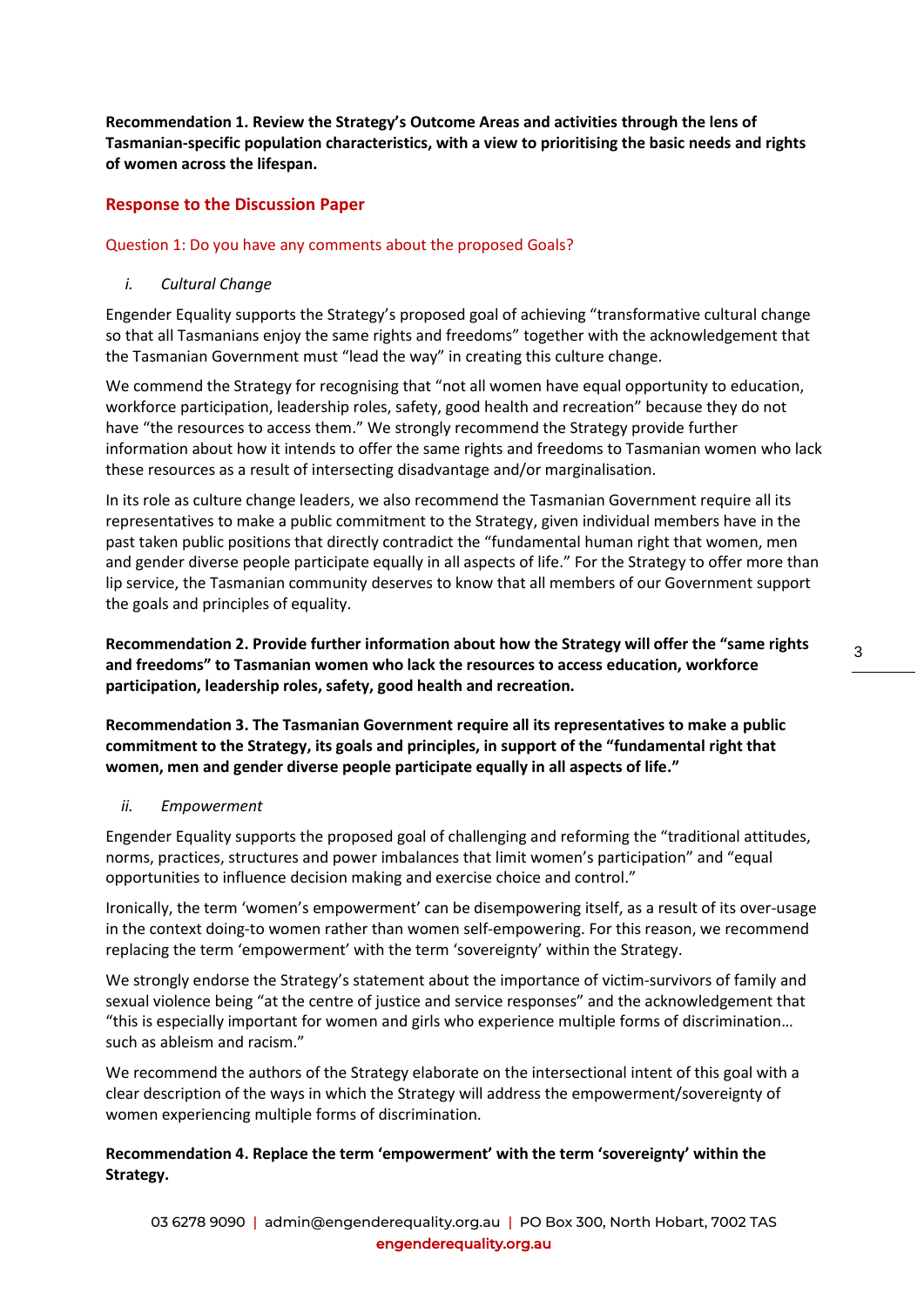**Recommendation 1. Review the Strategy's Outcome Areas and activities through the lens of Tasmanian-specific population characteristics, with a view to prioritising the basic needs and rights of women across the lifespan.**

## **Response to the Discussion Paper**

#### Question 1: Do you have any comments about the proposed Goals?

#### *i. Cultural Change*

Engender Equality supports the Strategy's proposed goal of achieving "transformative cultural change so that all Tasmanians enjoy the same rights and freedoms" together with the acknowledgement that the Tasmanian Government must "lead the way" in creating this culture change.

We commend the Strategy for recognising that "not all women have equal opportunity to education, workforce participation, leadership roles, safety, good health and recreation" because they do not have "the resources to access them." We strongly recommend the Strategy provide further information about how it intends to offer the same rights and freedoms to Tasmanian women who lack these resources as a result of intersecting disadvantage and/or marginalisation.

In its role as culture change leaders, we also recommend the Tasmanian Government require all its representatives to make a public commitment to the Strategy, given individual members have in the past taken public positions that directly contradict the "fundamental human right that women, men and gender diverse people participate equally in all aspects of life." For the Strategy to offer more than lip service, the Tasmanian community deserves to know that all members of our Government support the goals and principles of equality.

**Recommendation 2. Provide further information about how the Strategy will offer the "same rights and freedoms" to Tasmanian women who lack the resources to access education, workforce participation, leadership roles, safety, good health and recreation.**

**Recommendation 3. The Tasmanian Government require all its representatives to make a public commitment to the Strategy, its goals and principles, in support of the "fundamental right that women, men and gender diverse people participate equally in all aspects of life."**

#### *ii. Empowerment*

Engender Equality supports the proposed goal of challenging and reforming the "traditional attitudes, norms, practices, structures and power imbalances that limit women's participation" and "equal opportunities to influence decision making and exercise choice and control."

Ironically, the term 'women's empowerment' can be disempowering itself, as a result of its over-usage in the context doing-to women rather than women self-empowering. For this reason, we recommend replacing the term 'empowerment' with the term 'sovereignty' within the Strategy.

We strongly endorse the Strategy's statement about the importance of victim-survivors of family and sexual violence being "at the centre of justice and service responses" and the acknowledgement that "this is especially important for women and girls who experience multiple forms of discrimination… such as ableism and racism."

We recommend the authors of the Strategy elaborate on the intersectional intent of this goal with a clear description of the ways in which the Strategy will address the empowerment/sovereignty of women experiencing multiple forms of discrimination.

## **Recommendation 4. Replace the term 'empowerment' with the term 'sovereignty' within the Strategy.**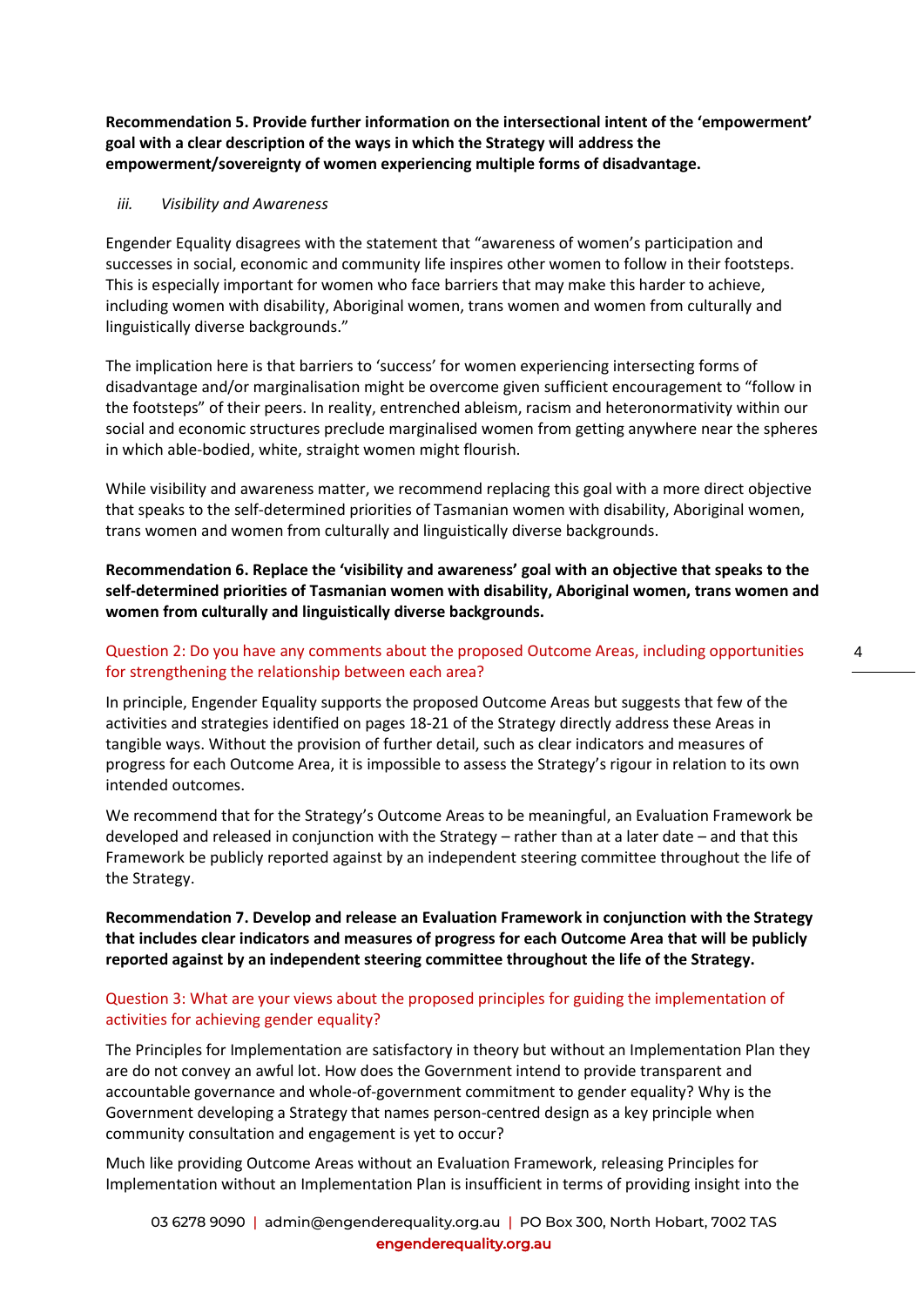**Recommendation 5. Provide further information on the intersectional intent of the 'empowerment' goal with a clear description of the ways in which the Strategy will address the empowerment/sovereignty of women experiencing multiple forms of disadvantage.**

#### *iii. Visibility and Awareness*

Engender Equality disagrees with the statement that "awareness of women's participation and successes in social, economic and community life inspires other women to follow in their footsteps. This is especially important for women who face barriers that may make this harder to achieve, including women with disability, Aboriginal women, trans women and women from culturally and linguistically diverse backgrounds."

The implication here is that barriers to 'success' for women experiencing intersecting forms of disadvantage and/or marginalisation might be overcome given sufficient encouragement to "follow in the footsteps" of their peers. In reality, entrenched ableism, racism and heteronormativity within our social and economic structures preclude marginalised women from getting anywhere near the spheres in which able-bodied, white, straight women might flourish.

While visibility and awareness matter, we recommend replacing this goal with a more direct objective that speaks to the self-determined priorities of Tasmanian women with disability, Aboriginal women, trans women and women from culturally and linguistically diverse backgrounds.

**Recommendation 6. Replace the 'visibility and awareness' goal with an objective that speaks to the self-determined priorities of Tasmanian women with disability, Aboriginal women, trans women and women from culturally and linguistically diverse backgrounds.**

#### Question 2: Do you have any comments about the proposed Outcome Areas, including opportunities for strengthening the relationship between each area?

In principle, Engender Equality supports the proposed Outcome Areas but suggests that few of the activities and strategies identified on pages 18-21 of the Strategy directly address these Areas in tangible ways. Without the provision of further detail, such as clear indicators and measures of progress for each Outcome Area, it is impossible to assess the Strategy's rigour in relation to its own intended outcomes.

We recommend that for the Strategy's Outcome Areas to be meaningful, an Evaluation Framework be developed and released in conjunction with the Strategy – rather than at a later date – and that this Framework be publicly reported against by an independent steering committee throughout the life of the Strategy.

## **Recommendation 7. Develop and release an Evaluation Framework in conjunction with the Strategy that includes clear indicators and measures of progress for each Outcome Area that will be publicly reported against by an independent steering committee throughout the life of the Strategy.**

## Question 3: What are your views about the proposed principles for guiding the implementation of activities for achieving gender equality?

The Principles for Implementation are satisfactory in theory but without an Implementation Plan they are do not convey an awful lot. How does the Government intend to provide transparent and accountable governance and whole-of-government commitment to gender equality? Why is the Government developing a Strategy that names person-centred design as a key principle when community consultation and engagement is yet to occur?

Much like providing Outcome Areas without an Evaluation Framework, releasing Principles for Implementation without an Implementation Plan is insufficient in terms of providing insight into the

03 6278 9090 | [admin@engenderequality.org.au](mailto:admin@engenderequality.org.au) | PO Box 300, North Hobart, 7002 TAS engenderequality.org.au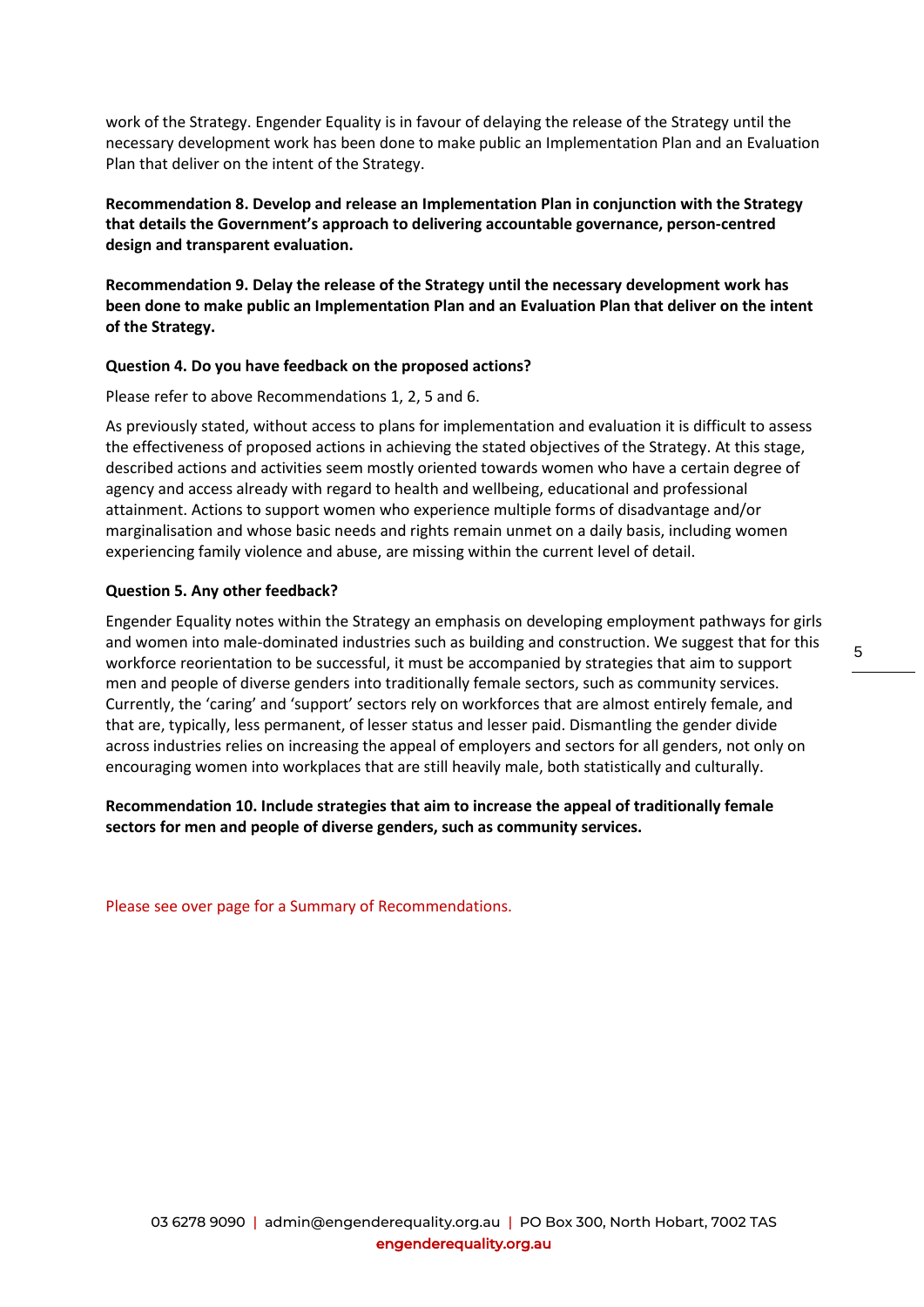work of the Strategy. Engender Equality is in favour of delaying the release of the Strategy until the necessary development work has been done to make public an Implementation Plan and an Evaluation Plan that deliver on the intent of the Strategy.

**Recommendation 8. Develop and release an Implementation Plan in conjunction with the Strategy that details the Government's approach to delivering accountable governance, person-centred design and transparent evaluation.**

**Recommendation 9. Delay the release of the Strategy until the necessary development work has been done to make public an Implementation Plan and an Evaluation Plan that deliver on the intent of the Strategy.**

#### **Question 4. Do you have feedback on the proposed actions?**

Please refer to above Recommendations 1, 2, 5 and 6.

As previously stated, without access to plans for implementation and evaluation it is difficult to assess the effectiveness of proposed actions in achieving the stated objectives of the Strategy. At this stage, described actions and activities seem mostly oriented towards women who have a certain degree of agency and access already with regard to health and wellbeing, educational and professional attainment. Actions to support women who experience multiple forms of disadvantage and/or marginalisation and whose basic needs and rights remain unmet on a daily basis, including women experiencing family violence and abuse, are missing within the current level of detail.

#### **Question 5. Any other feedback?**

Engender Equality notes within the Strategy an emphasis on developing employment pathways for girls and women into male-dominated industries such as building and construction. We suggest that for this workforce reorientation to be successful, it must be accompanied by strategies that aim to support men and people of diverse genders into traditionally female sectors, such as community services. Currently, the 'caring' and 'support' sectors rely on workforces that are almost entirely female, and that are, typically, less permanent, of lesser status and lesser paid. Dismantling the gender divide across industries relies on increasing the appeal of employers and sectors for all genders, not only on encouraging women into workplaces that are still heavily male, both statistically and culturally.

**Recommendation 10. Include strategies that aim to increase the appeal of traditionally female sectors for men and people of diverse genders, such as community services.**

Please see over page for a Summary of Recommendations.